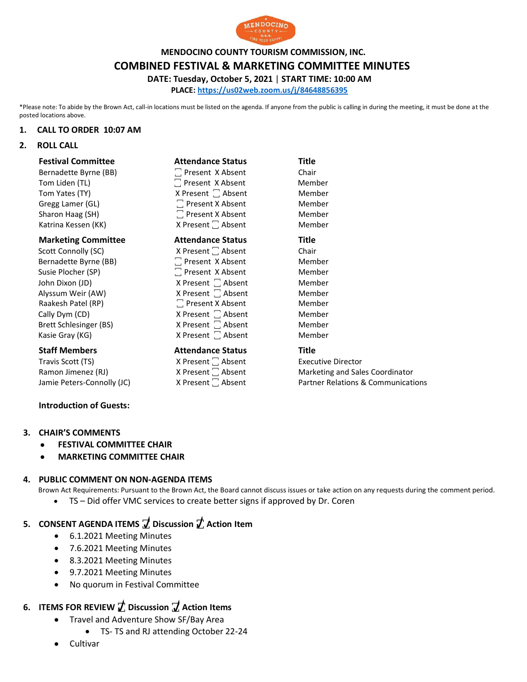

**MENDOCINO COUNTY TOURISM COMMISSION, INC.**

#### **COMBINED FESTIVAL & MARKETING COMMITTEE MINUTES**

**DATE: Tuesday, October 5, 2021** | **START TIME: 10:00 AM**

**PLACE: <https://us02web.zoom.us/j/84648856395>**

\*Please note: To abide by the Brown Act, call-in locations must be listed on the agenda. If anyone from the public is calling in during the meeting, it must be done at the posted locations above.

#### **1. CALL TO ORDER 10:07 AM**

**2. ROLL CALL**

| <b>Festival Committee</b>  | <b>Attendance Status</b>      | <b>Title</b> |
|----------------------------|-------------------------------|--------------|
| Bernadette Byrne (BB)      | □ Present X Absent            | Chair        |
| Tom Liden (TL)             | □ Present X Absent            | Member       |
| Tom Yates (TY)             | X Present □ Absent            | Member       |
| Gregg Lamer (GL)           | $\Box$ Present X Absent       | Member       |
| Sharon Haag (SH)           | $\Box$ Present X Absent       | Member       |
| Katrina Kessen (KK)        | X Present <sup>1</sup> Absent | Member       |
|                            |                               |              |
| <b>Marketing Committee</b> | <b>Attendance Status</b>      | Title        |
| Scott Connolly (SC)        | X Present   Absent            | Chair        |
| Bernadette Byrne (BB)      | $\Box$ Present X Absent       | Member       |
| Susie Plocher (SP)         | Present X Absent              | Member       |
| John Dixon (JD)            | X Present $\Box$ Absent       | Member       |
| Alyssum Weir (AW)          | X Present □ Absent            | Member       |

Cally Dym (CD)  $\qquad \qquad$  X Present  $\Box$  Absent  $\qquad \qquad$  Member Brett Schlesinger (BS)  $\begin{array}{ccc} \text{X Present} & \text{Absent} \\ \end{array}$  Member Kasie Gray (KG)  $X$  Present  $\Box$  Absent Member **Staff Members Attendance Status Title** 

Travis Scott (TS) <br>
Resent 
Scott 
X Present 
Scott 
C Absent 
Scott 
C Absent 
C Absent 
C Absent 
C Absent 
C Absent 
C Absent 
C Absent 
C Absent 
C Absent 
C Absent 
C Absent 
C Absent 
C Absent 
C Absent 
C Absent 
C

Ramon Jimenez (RJ)  $X$  Present  $\Box$  Absent Marketing and Sales Coordinator Jamie Peters-Connolly (JC) X Present 
X Absent  $\Box$  Absent  $\Box$  Absent  $\Box$  Partner Relations & Communications

# **Introduction of Guests:**

- **3. CHAIR'S COMMENTS**
	- **FESTIVAL COMMITTEE CHAIR**
	- **MARKETING COMMITTEE CHAIR**

#### **4. PUBLIC COMMENT ON NON-AGENDA ITEMS**

Brown Act Requirements: Pursuant to the Brown Act, the Board cannot discuss issues or take action on any requests during the comment period. • TS – Did offer VMC services to create better signs if approved by Dr. Coren

- **5. CONSENT AGENDA ITEMS ꙱ Discussion ꙱ Action Item**
	- 6.1.2021 Meeting Minutes
	- 7.6.2021 Meeting Minutes
	- 8.3.2021 Meeting Minutes
	- 9.7.2021 Meeting Minutes
	- No quorum in Festival Committee

## **6. ITEMS FOR REVIEW ꙱ Discussion ꙱ Action Items**

- Travel and Adventure Show SF/Bay Area
	- TS- TS and RJ attending October 22-24
- Cultivar